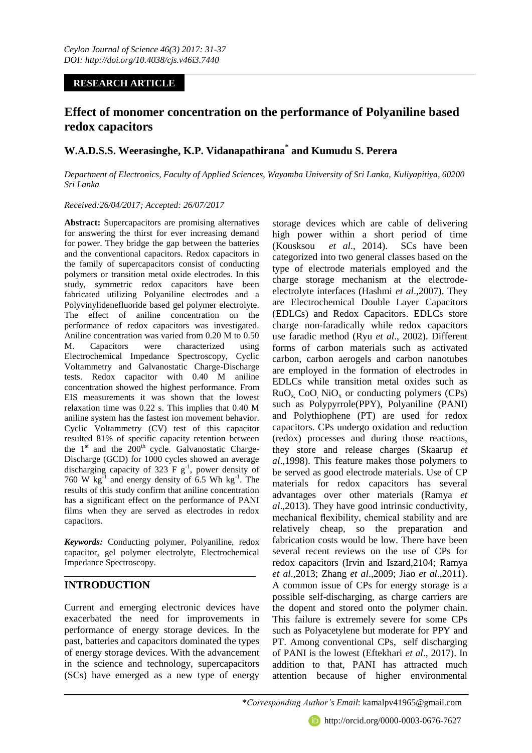## **RESEARCH ARTICLE**

# **Effect of monomer concentration on the performance of Polyaniline based redox capacitors**

## **W.A.D.S.S. Weerasinghe, K.P. Vidanapathirana\* and Kumudu S. Perera**

*Department of Electronics, Faculty of Applied Sciences, Wayamba University of Sri Lanka, Kuliyapitiya, 60200 Sri Lanka*

## *Received:26/04/2017; Accepted: 26/07/2017*

**Abstract:** Supercapacitors are promising alternatives for answering the thirst for ever increasing demand for power. They bridge the gap between the batteries and the conventional capacitors. Redox capacitors in the family of supercapacitors consist of conducting polymers or transition metal oxide electrodes. In this study, symmetric redox capacitors have been fabricated utilizing Polyaniline electrodes and a Polyvinylidenefluoride based gel polymer electrolyte. The effect of aniline concentration on the performance of redox capacitors was investigated. Aniline concentration was varied from 0.20 M to 0.50 M. Capacitors were characterized using Electrochemical Impedance Spectroscopy, Cyclic Voltammetry and Galvanostatic Charge-Discharge tests. Redox capacitor with 0.40 M aniline concentration showed the highest performance. From EIS measurements it was shown that the lowest relaxation time was 0.22 s. This implies that 0.40 M aniline system has the fastest ion movement behavior. Cyclic Voltammetry (CV) test of this capacitor resulted 81% of specific capacity retention between the  $1<sup>st</sup>$  and the  $200<sup>th</sup>$  cycle. Galvanostatic Charge-Discharge (GCD) for 1000 cycles showed an average discharging capacity of 323  $F g^{-1}$ , power density of 760 W  $\text{kg}^{-1}$  and energy density of 6.5 Wh  $\text{kg}^{-1}$ . The results of this study confirm that aniline concentration has a significant effect on the performance of PANI films when they are served as electrodes in redox capacitors.

*Keywords:* Conducting polymer, Polyaniline, redox capacitor, gel polymer electrolyte, Electrochemical Impedance Spectroscopy.

## **INTRODUCTION**

Current and emerging electronic devices have exacerbated the need for improvements in performance of energy storage devices. In the past, batteries and capacitors dominated the types of energy storage devices. With the advancement in the science and technology, supercapacitors (SCs) have emerged as a new type of energy storage devices which are cable of delivering high power within a short period of time (Kousksou *et al*., 2014). SCs have been categorized into two general classes based on the type of electrode materials employed and the charge storage mechanism at the electrodeelectrolyte interfaces (Hashmi *et al*.,2007). They are Electrochemical Double Layer Capacitors (EDLCs) and Redox Capacitors. EDLCs store charge non-faradically while redox capacitors use faradic method (Ryu *et al*., 2002). Different forms of carbon materials such as activated carbon, carbon aerogels and carbon nanotubes are employed in the formation of electrodes in EDLCs while transition metal oxides such as  $RuO<sub>x</sub>$  CoO, NiO<sub>x</sub> or conducting polymers (CPs) such as Polypyrrole(PPY), Polyaniline (PANI) and Polythiophene (PT) are used for redox capacitors. CPs undergo oxidation and reduction (redox) processes and during those reactions, they store and release charges (Skaarup *et al*.,1998). This feature makes those polymers to be served as good electrode materials. Use of CP materials for redox capacitors has several advantages over other materials (Ramya *et al*.,2013). They have good intrinsic conductivity, mechanical flexibility, chemical stability and are relatively cheap, so the preparation and fabrication costs would be low. There have been several recent reviews on the use of CPs for redox capacitors (Irvin and Iszard,2104; Ramya *et al*.,2013; Zhang *et al*.,2009; Jiao *et al*.,2011). A common issue of CPs for energy storage is a possible self-discharging, as charge carriers are the dopent and stored onto the polymer chain. This failure is extremely severe for some CPs such as Polyacetylene but moderate for PPY and PT. Among conventional CPs, self discharging of PANI is the lowest (Eftekhari *et al*., 2017). In addition to that, PANI has attracted much attention because of higher environmental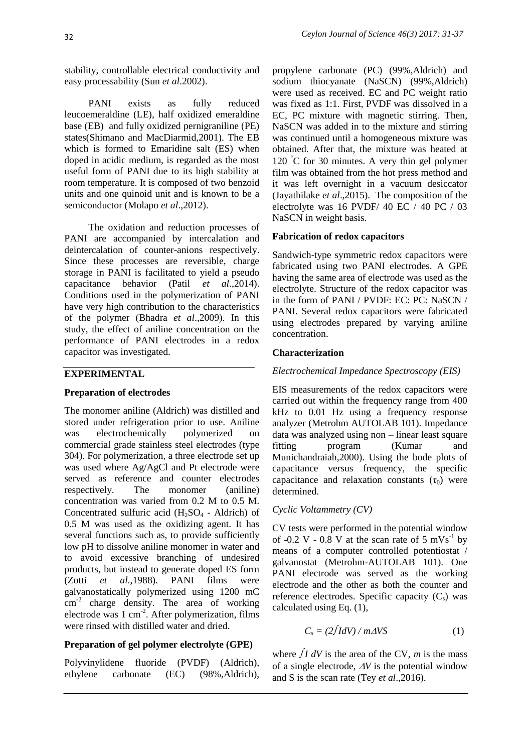stability, controllable electrical conductivity and easy processability (Sun *et al*.2002).

PANI exists as fully reduced leucoemeraldine (LE), half oxidized emeraldine base (EB) and fully oxidized pernigraniline (PE) states(Shimano and MacDiarmid,2001). The EB which is formed to Emaridine salt (ES) when doped in acidic medium, is regarded as the most useful form of PANI due to its high stability at room temperature. It is composed of two benzoid units and one quinoid unit and is known to be a semiconductor (Molapo *et al*.,2012).

The oxidation and reduction processes of PANI are accompanied by intercalation and deintercalation of counter-anions respectively. Since these processes are reversible, charge storage in PANI is facilitated to yield a pseudo capacitance behavior (Patil *et al*.,2014). Conditions used in the polymerization of PANI have very high contribution to the characteristics of the polymer (Bhadra *et al*.,2009). In this study, the effect of aniline concentration on the performance of PANI electrodes in a redox capacitor was investigated.

#### **EXPERIMENTAL**

#### **Preparation of electrodes**

The monomer aniline (Aldrich) was distilled and stored under refrigeration prior to use. Aniline was electrochemically polymerized on commercial grade stainless steel electrodes (type 304). For polymerization, a three electrode set up was used where Ag/AgCl and Pt electrode were served as reference and counter electrodes respectively. The monomer (aniline) concentration was varied from 0.2 M to 0.5 M. Concentrated sulfuric acid  $(H_2SO_4 - Aldrich)$  of 0.5 M was used as the oxidizing agent. It has several functions such as, to provide sufficiently low pH to dissolve aniline monomer in water and to avoid excessive branching of undesired products, but instead to generate doped ES form (Zotti *et al*.,1988). PANI films were galvanostatically polymerized using 1200 mC cm<sup>-2</sup> charge density. The area of working electrode was  $1 \text{ cm}^{-2}$ . After polymerization, films were rinsed with distilled water and dried.

#### **Preparation of gel polymer electrolyte (GPE)**

Polyvinylidene fluoride (PVDF) (Aldrich), ethylene carbonate (EC) (98%,Aldrich),

propylene carbonate (PC) (99%,Aldrich) and sodium thiocyanate (NaSCN) (99%,Aldrich) were used as received. EC and PC weight ratio was fixed as 1:1. First, PVDF was dissolved in a EC, PC mixture with magnetic stirring. Then, NaSCN was added in to the mixture and stirring was continued until a homogeneous mixture was obtained. After that, the mixture was heated at 120  $\degree$ C for 30 minutes. A very thin gel polymer film was obtained from the hot press method and it was left overnight in a vacuum desiccator (Jayathilake *et al*.,2015). The composition of the electrolyte was 16 PVDF/ 40 EC / 40 PC / 03 NaSCN in weight basis.

#### **Fabrication of redox capacitors**

Sandwich-type symmetric redox capacitors were fabricated using two PANI electrodes. A GPE having the same area of electrode was used as the electrolyte. Structure of the redox capacitor was in the form of PANI / PVDF: EC: PC: NaSCN / PANI. Several redox capacitors were fabricated using electrodes prepared by varying aniline concentration.

## **Characterization**

#### *Electrochemical Impedance Spectroscopy (EIS)*

EIS measurements of the redox capacitors were carried out within the frequency range from 400 kHz to 0.01 Hz using a frequency response analyzer (Metrohm AUTOLAB 101). Impedance data was analyzed using non – linear least square fitting program (Kumar and Munichandraiah,2000). Using the bode plots of capacitance versus frequency, the specific capacitance and relaxation constants  $(\tau_0)$  were determined.

#### *Cyclic Voltammetry (CV)*

CV tests were performed in the potential window of -0.2 V -  $0.\overline{8}$  V at the scan rate of 5 mVs<sup>-1</sup> by means of a computer controlled potentiostat / galvanostat (Metrohm-AUTOLAB 101). One PANI electrode was served as the working electrode and the other as both the counter and reference electrodes. Specific capacity  $(C_s)$  was calculated using Eq. (1),

$$
C_s = \frac{2\int dV}{m\Delta V} \tag{1}
$$

where  $\int I dV$  is the area of the CV, *m* is the mass of a single electrode,  $\Delta V$  is the potential window and S is the scan rate (Tey *et al*.,2016).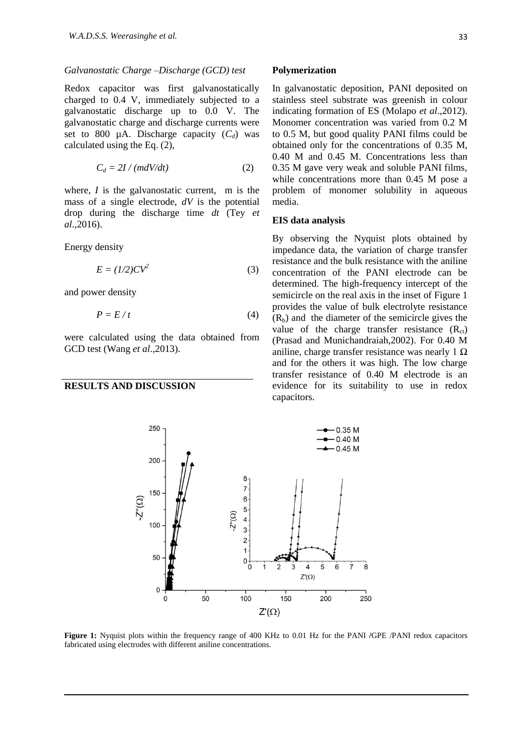#### *Galvanostatic Charge –Discharge (GCD) test*

Redox capacitor was first galvanostatically charged to 0.4 V, immediately subjected to a galvanostatic discharge up to 0.0 V. The galvanostatic charge and discharge currents were set to 800  $\mu$ A. Discharge capacity  $(C_d)$  was calculated using the Eq. (2),

$$
C_d = 2I / (mdV/dt) \tag{2}
$$

where, *I* is the galvanostatic current, m is the mass of a single electrode, *dV* is the potential drop during the discharge time *dt* (Tey *et al*.,2016).

Energy density

$$
E = (1/2)CV^2 \tag{3}
$$

and power density

$$
P = E/t \tag{4}
$$

were calculated using the data obtained from GCD test (Wang *et al*.,2013).

250

## **RESULTS AND DISCUSSION**

#### **Polymerization**

In galvanostatic deposition, PANI deposited on stainless steel substrate was greenish in colour indicating formation of ES (Molapo *et al*.,2012). Monomer concentration was varied from 0.2 M to 0.5 M, but good quality PANI films could be obtained only for the concentrations of 0.35 M, 0.40 M and 0.45 M. Concentrations less than 0.35 M gave very weak and soluble PANI films, while concentrations more than 0.45 M pose a problem of monomer solubility in aqueous media.

#### **EIS data analysis**

By observing the Nyquist plots obtained by impedance data, the variation of charge transfer resistance and the bulk resistance with the aniline concentration of the PANI electrode can be determined. The high-frequency intercept of the semicircle on the real axis in the inset of Figure 1 provides the value of bulk electrolyte resistance  $(R<sub>b</sub>)$  and the diameter of the semicircle gives the value of the charge transfer resistance  $(R<sub>ct</sub>)$ (Prasad and Munichandraiah,2002). For 0.40 M aniline, charge transfer resistance was nearly  $1 \Omega$ and for the others it was high. The low charge transfer resistance of 0.40 M electrode is an evidence for its suitability to use in redox capacitors.



**Figure 1:** Nyquist plots within the frequency range of 400 KHz to 0.01 Hz for the PANI **/**GPE /PANI redox capacitors fabricated using electrodes with different aniline concentrations.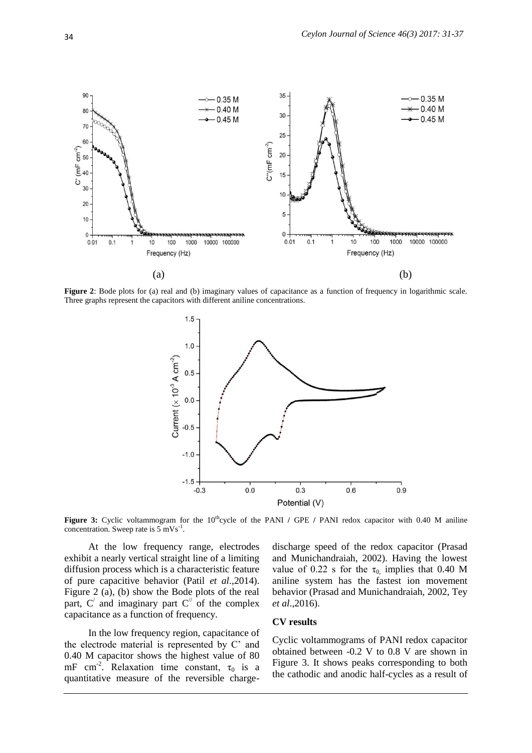

**Figure 2**: Bode plots for (a) real and (b) imaginary values of capacitance as a function of frequency in logarithmic scale. Three graphs represent the capacitors with different aniline concentrations.



**Figure 3:** Cyclic voltammogram for the 10<sup>th</sup>cycle of the PANI / GPE / PANI redox capacitor with 0.40 M aniline concentration. Sweep rate is  $5 \text{ mVs}^{-1}$ .

At the low frequency range, electrodes exhibit a nearly vertical straight line of a limiting diffusion process which is a characteristic feature of pure capacitive behavior (Patil *et al*.,2014). Figure 2 (a), (b) show the Bode plots of the real part,  $C'$  and imaginary part  $C''$  of the complex capacitance as a function of frequency.

In the low frequency region, capacitance of the electrode material is represented by C' and 0.40 M capacitor shows the highest value of 80 mF cm<sup>-2</sup>. Relaxation time constant,  $\tau_0$  is a quantitative measure of the reversible chargedischarge speed of the redox capacitor (Prasad and Munichandraiah, 2002). Having the lowest value of 0.22 s for the  $\tau_0$  implies that 0.40 M aniline system has the fastest ion movement behavior (Prasad and Munichandraiah, 2002, Tey *et al*.,2016).

#### **CV results**

Cyclic voltammograms of PANI redox capacitor obtained between -0.2 V to 0.8 V are shown in Figure 3. It shows peaks corresponding to both the cathodic and anodic half-cycles as a result of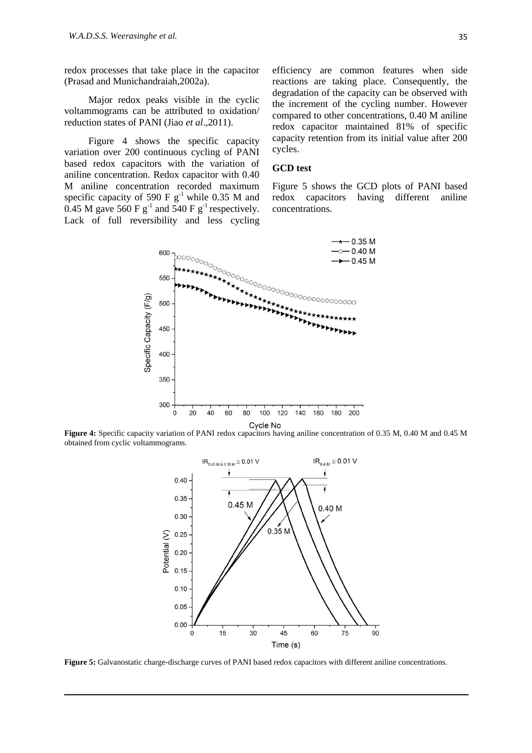redox processes that take place in the capacitor (Prasad and Munichandraiah,2002a).

Major redox peaks visible in the cyclic voltammograms can be attributed to oxidation/ reduction states of PANI (Jiao *et al*.,2011).

Figure 4 shows the specific capacity variation over 200 continuous cycling of PANI based redox capacitors with the variation of aniline concentration. Redox capacitor with 0.40 M aniline concentration recorded maximum specific capacity of 590 F  $g^{-1}$  while 0.35 M and  $0.45$  M gave 560 F g<sup>-1</sup> and 540 F g<sup>-1</sup> respectively. Lack of full reversibility and less cycling

efficiency are common features when side reactions are taking place. Consequently, the degradation of the capacity can be observed with the increment of the cycling number. However compared to other concentrations, 0.40 M aniline redox capacitor maintained 81% of specific capacity retention from its initial value after 200 cycles.

#### **GCD test**

Figure 5 shows the GCD plots of PANI based redox capacitors having different aniline concentrations.



**Figure 4:** Specific capacity variation of PANI redox capacitors having aniline concentration of 0.35 M, 0.40 M and 0.45 M obtained from cyclic voltammograms.



**Figure 5:** Galvanostatic charge-discharge curves of PANI based redox capacitors with different aniline concentrations.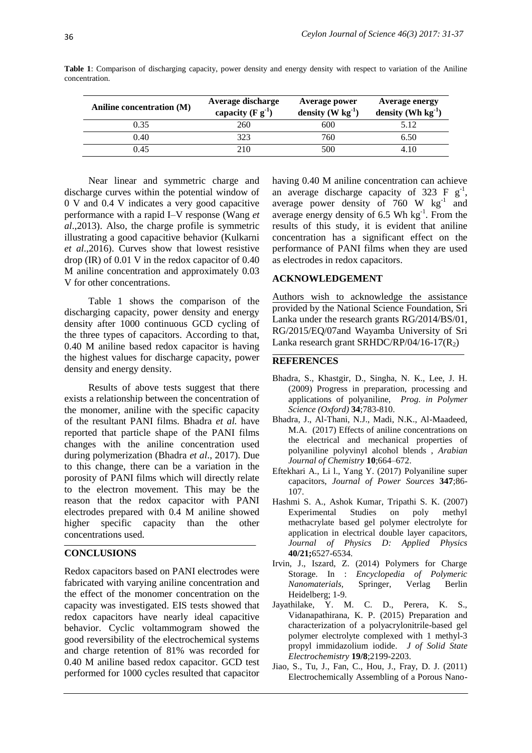| Aniline concentration (M) | Average discharge<br>capacity $(F g-1)$ | Average power<br>density (W $kg^{-1}$ ) | <b>Average energy</b><br>density (Wh $kg^{-1}$ ) |
|---------------------------|-----------------------------------------|-----------------------------------------|--------------------------------------------------|
| 0.35                      | 260                                     | 600                                     | 5.12                                             |
| 0.40                      | 323                                     | 760                                     | 6.50                                             |
| 0.45                      | 210                                     | 500                                     | 410                                              |

**Table 1**: Comparison of discharging capacity, power density and energy density with respect to variation of the Aniline concentration.

Near linear and symmetric charge and discharge curves within the potential window of 0 V and 0.4 V indicates a very good capacitive performance with a rapid I–V response (Wang *et al*.,2013). Also, the charge profile is symmetric illustrating a good capacitive behavior (Kulkarni *et al*.,2016). Curves show that lowest resistive drop (IR) of 0.01 V in the redox capacitor of 0.40 M aniline concentration and approximately 0.03 V for other concentrations.

Table 1 shows the comparison of the discharging capacity, power density and energy density after 1000 continuous GCD cycling of the three types of capacitors. According to that, 0.40 M aniline based redox capacitor is having the highest values for discharge capacity, power density and energy density.

Results of above tests suggest that there exists a relationship between the concentration of the monomer, aniline with the specific capacity of the resultant PANI films. Bhadra *et al.* have reported that particle shape of the PANI films changes with the aniline concentration used during polymerization (Bhadra *et al*., 2017). Due to this change, there can be a variation in the porosity of PANI films which will directly relate to the electron movement. This may be the reason that the redox capacitor with PANI electrodes prepared with 0.4 M aniline showed higher specific capacity than the other concentrations used.

## **CONCLUSIONS**

Redox capacitors based on PANI electrodes were fabricated with varying aniline concentration and the effect of the monomer concentration on the capacity was investigated. EIS tests showed that redox capacitors have nearly ideal capacitive behavior. Cyclic voltammogram showed the good reversibility of the electrochemical systems and charge retention of 81% was recorded for 0.40 M aniline based redox capacitor. GCD test performed for 1000 cycles resulted that capacitor

having 0.40 M aniline concentration can achieve an average discharge capacity of 323 F  $g^{-1}$ , average power density of  $760$  W  $\text{kg}^{-1}$  and average energy density of  $6.5$  Wh kg<sup>-1</sup>. From the results of this study, it is evident that aniline concentration has a significant effect on the performance of PANI films when they are used as electrodes in redox capacitors.

#### **ACKNOWLEDGEMENT**

Authors wish to acknowledge the assistance provided by the National Science Foundation, Sri Lanka under the research grants RG/2014/BS/01, RG/2015/EQ/07and Wayamba University of Sri Lanka research grant SRHDC/RP/04/16-17( $R_2$ )

### **REFERENCES**

- Bhadra, S., Khastgir, D., Singha, N. K., Lee, J. H. (2009) Progress in preparation, processing and applications of polyaniline, *Prog. in Polymer Science (Oxford)* **34**;783-810.
- Bhadra, J., Al-Thani, N.J., Madi, N.K., Al-Maadeed, M.A. (2017) Effects of aniline concentrations on the electrical and mechanical properties of polyaniline polyvinyl alcohol blends , *Arabian Journal of Chemistry* **10**;664–672.
- Eftekhari A., Li l., Yang Y. (2017) Polyaniline super capacitors, *Journal of Power Sources* **347**;86- 107.
- Hashmi S. A., Ashok Kumar, Tripathi S. K. (2007) Experimental Studies on poly methyl methacrylate based gel polymer electrolyte for application in electrical double layer capacitors, *Journal of Physics D: Applied Physics* **40/21;**6527-6534.
- Irvin, J., Iszard, Z. (2014) Polymers for Charge Storage. In : *Encyclopedia of Polymeric Nanomaterials,* Springer, Verlag Berlin Heidelberg; 1-9.
- Javathilake, Y. M. C. D., Perera, K. S., Vidanapathirana, K. P. (2015) Preparation and characterization of a polyacrylonitrile-based gel polymer electrolyte complexed with 1 methyl-3 propyl immidazolium iodide. *J of Solid State Electrochemistry* **19/8**;2199-2203.
- Jiao, S., Tu, J., Fan, C., Hou, J., Fray, D. J. (2011) Electrochemically Assembling of a Porous Nano-